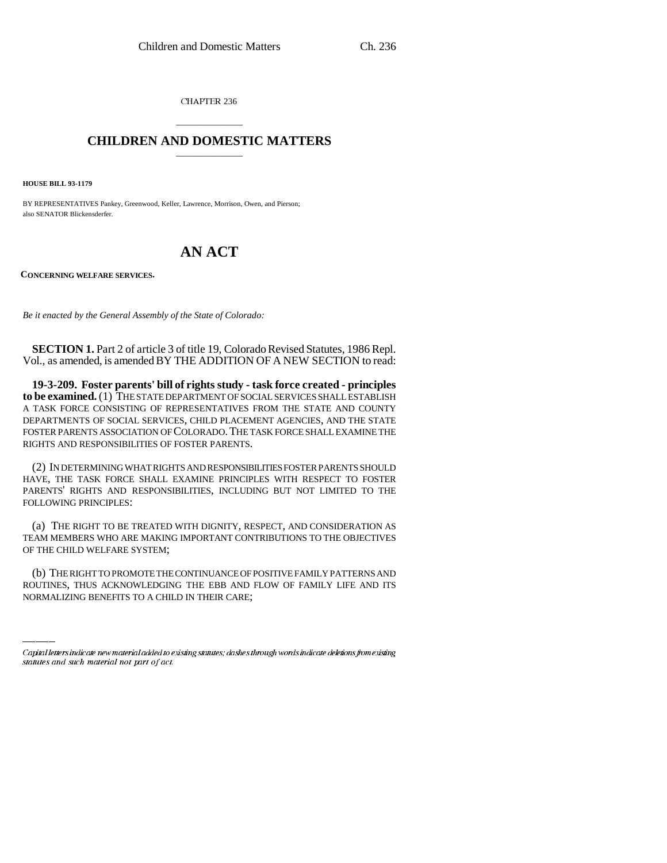CHAPTER 236

## \_\_\_\_\_\_\_\_\_\_\_\_\_\_\_ **CHILDREN AND DOMESTIC MATTERS** \_\_\_\_\_\_\_\_\_\_\_\_\_\_\_

**HOUSE BILL 93-1179**

BY REPRESENTATIVES Pankey, Greenwood, Keller, Lawrence, Morrison, Owen, and Pierson; also SENATOR Blickensderfer.

## **AN ACT**

**CONCERNING WELFARE SERVICES.**

*Be it enacted by the General Assembly of the State of Colorado:*

**SECTION 1.** Part 2 of article 3 of title 19, Colorado Revised Statutes, 1986 Repl. Vol., as amended, is amended BY THE ADDITION OF A NEW SECTION to read:

**19-3-209. Foster parents' bill of rights study - task force created - principles to be examined.** (1) THE STATE DEPARTMENT OF SOCIAL SERVICES SHALL ESTABLISH A TASK FORCE CONSISTING OF REPRESENTATIVES FROM THE STATE AND COUNTY DEPARTMENTS OF SOCIAL SERVICES, CHILD PLACEMENT AGENCIES, AND THE STATE FOSTER PARENTS ASSOCIATION OF COLORADO.THE TASK FORCE SHALL EXAMINE THE RIGHTS AND RESPONSIBILITIES OF FOSTER PARENTS.

(2) IN DETERMINING WHAT RIGHTS AND RESPONSIBILITIES FOSTER PARENTS SHOULD HAVE, THE TASK FORCE SHALL EXAMINE PRINCIPLES WITH RESPECT TO FOSTER PARENTS' RIGHTS AND RESPONSIBILITIES, INCLUDING BUT NOT LIMITED TO THE FOLLOWING PRINCIPLES:

(a) THE RIGHT TO BE TREATED WITH DIGNITY, RESPECT, AND CONSIDERATION AS TEAM MEMBERS WHO ARE MAKING IMPORTANT CONTRIBUTIONS TO THE OBJECTIVES OF THE CHILD WELFARE SYSTEM;

(b) THE RIGHT TO PROMOTE THE CONTINUANCE OF POSITIVE FAMILY PATTERNS AND ROUTINES, THUS ACKNOWLEDGING THE EBB AND FLOW OF FAMILY LIFE AND ITS NORMALIZING BENEFITS TO A CHILD IN THEIR CARE;

Capital letters indicate new material added to existing statutes; dashes through words indicate deletions from existing statutes and such material not part of act.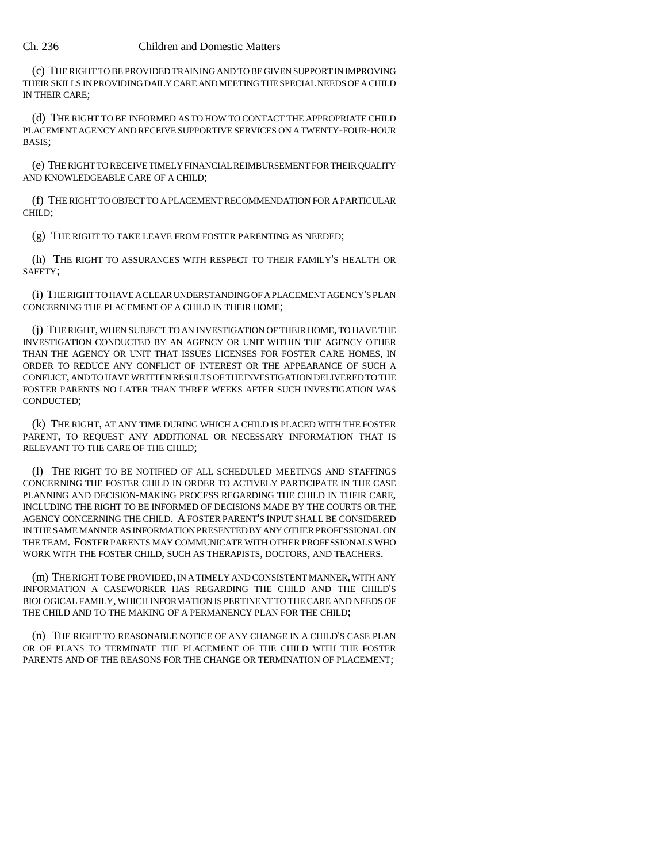## Ch. 236 Children and Domestic Matters

(c) THE RIGHT TO BE PROVIDED TRAINING AND TO BE GIVEN SUPPORT IN IMPROVING THEIR SKILLS IN PROVIDING DAILY CARE AND MEETING THE SPECIAL NEEDS OF A CHILD IN THEIR CARE;

(d) THE RIGHT TO BE INFORMED AS TO HOW TO CONTACT THE APPROPRIATE CHILD PLACEMENT AGENCY AND RECEIVE SUPPORTIVE SERVICES ON A TWENTY-FOUR-HOUR BASIS;

(e) THE RIGHT TO RECEIVE TIMELY FINANCIAL REIMBURSEMENT FOR THEIR QUALITY AND KNOWLEDGEABLE CARE OF A CHILD;

(f) THE RIGHT TO OBJECT TO A PLACEMENT RECOMMENDATION FOR A PARTICULAR CHILD;

(g) THE RIGHT TO TAKE LEAVE FROM FOSTER PARENTING AS NEEDED;

(h) THE RIGHT TO ASSURANCES WITH RESPECT TO THEIR FAMILY'S HEALTH OR SAFETY;

(i) THE RIGHT TO HAVE A CLEAR UNDERSTANDING OF A PLACEMENT AGENCY'S PLAN CONCERNING THE PLACEMENT OF A CHILD IN THEIR HOME;

(j) THE RIGHT, WHEN SUBJECT TO AN INVESTIGATION OF THEIR HOME, TO HAVE THE INVESTIGATION CONDUCTED BY AN AGENCY OR UNIT WITHIN THE AGENCY OTHER THAN THE AGENCY OR UNIT THAT ISSUES LICENSES FOR FOSTER CARE HOMES, IN ORDER TO REDUCE ANY CONFLICT OF INTEREST OR THE APPEARANCE OF SUCH A CONFLICT, AND TO HAVE WRITTEN RESULTS OF THE INVESTIGATION DELIVERED TO THE FOSTER PARENTS NO LATER THAN THREE WEEKS AFTER SUCH INVESTIGATION WAS CONDUCTED;

(k) THE RIGHT, AT ANY TIME DURING WHICH A CHILD IS PLACED WITH THE FOSTER PARENT, TO REQUEST ANY ADDITIONAL OR NECESSARY INFORMATION THAT IS RELEVANT TO THE CARE OF THE CHILD;

(l) THE RIGHT TO BE NOTIFIED OF ALL SCHEDULED MEETINGS AND STAFFINGS CONCERNING THE FOSTER CHILD IN ORDER TO ACTIVELY PARTICIPATE IN THE CASE PLANNING AND DECISION-MAKING PROCESS REGARDING THE CHILD IN THEIR CARE, INCLUDING THE RIGHT TO BE INFORMED OF DECISIONS MADE BY THE COURTS OR THE AGENCY CONCERNING THE CHILD. A FOSTER PARENT'S INPUT SHALL BE CONSIDERED IN THE SAME MANNER AS INFORMATION PRESENTED BY ANY OTHER PROFESSIONAL ON THE TEAM. FOSTER PARENTS MAY COMMUNICATE WITH OTHER PROFESSIONALS WHO WORK WITH THE FOSTER CHILD, SUCH AS THERAPISTS, DOCTORS, AND TEACHERS.

(m) THE RIGHT TO BE PROVIDED, IN A TIMELY AND CONSISTENT MANNER, WITH ANY INFORMATION A CASEWORKER HAS REGARDING THE CHILD AND THE CHILD'S BIOLOGICAL FAMILY, WHICH INFORMATION IS PERTINENT TO THE CARE AND NEEDS OF THE CHILD AND TO THE MAKING OF A PERMANENCY PLAN FOR THE CHILD;

(n) THE RIGHT TO REASONABLE NOTICE OF ANY CHANGE IN A CHILD'S CASE PLAN OR OF PLANS TO TERMINATE THE PLACEMENT OF THE CHILD WITH THE FOSTER PARENTS AND OF THE REASONS FOR THE CHANGE OR TERMINATION OF PLACEMENT;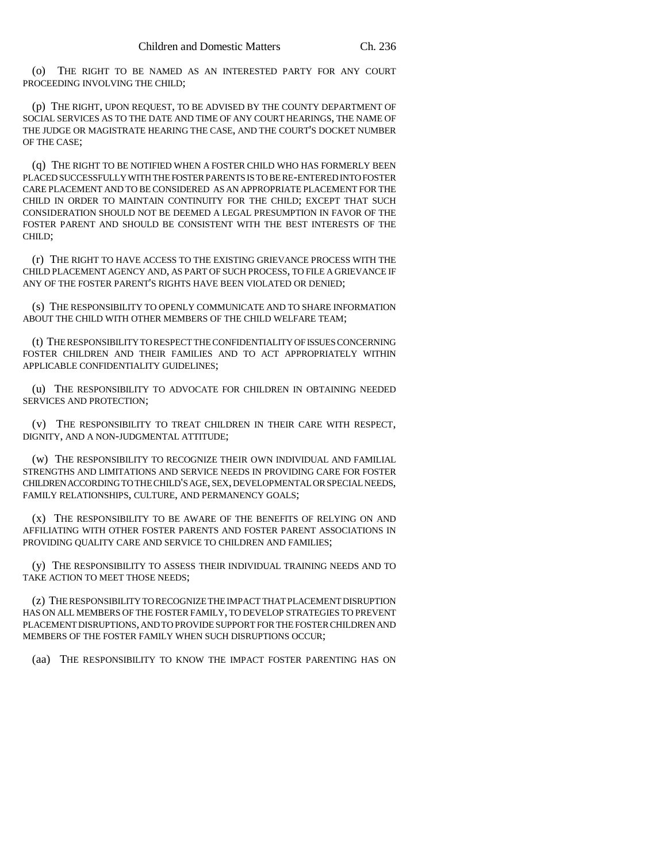(o) THE RIGHT TO BE NAMED AS AN INTERESTED PARTY FOR ANY COURT PROCEEDING INVOLVING THE CHILD;

(p) THE RIGHT, UPON REQUEST, TO BE ADVISED BY THE COUNTY DEPARTMENT OF SOCIAL SERVICES AS TO THE DATE AND TIME OF ANY COURT HEARINGS, THE NAME OF THE JUDGE OR MAGISTRATE HEARING THE CASE, AND THE COURT'S DOCKET NUMBER OF THE CASE;

(q) THE RIGHT TO BE NOTIFIED WHEN A FOSTER CHILD WHO HAS FORMERLY BEEN PLACED SUCCESSFULLY WITH THE FOSTER PARENTS IS TO BE RE-ENTERED INTO FOSTER CARE PLACEMENT AND TO BE CONSIDERED AS AN APPROPRIATE PLACEMENT FOR THE CHILD IN ORDER TO MAINTAIN CONTINUITY FOR THE CHILD; EXCEPT THAT SUCH CONSIDERATION SHOULD NOT BE DEEMED A LEGAL PRESUMPTION IN FAVOR OF THE FOSTER PARENT AND SHOULD BE CONSISTENT WITH THE BEST INTERESTS OF THE CHILD;

(r) THE RIGHT TO HAVE ACCESS TO THE EXISTING GRIEVANCE PROCESS WITH THE CHILD PLACEMENT AGENCY AND, AS PART OF SUCH PROCESS, TO FILE A GRIEVANCE IF ANY OF THE FOSTER PARENT'S RIGHTS HAVE BEEN VIOLATED OR DENIED;

(s) THE RESPONSIBILITY TO OPENLY COMMUNICATE AND TO SHARE INFORMATION ABOUT THE CHILD WITH OTHER MEMBERS OF THE CHILD WELFARE TEAM;

(t) THE RESPONSIBILITY TO RESPECT THE CONFIDENTIALITY OF ISSUES CONCERNING FOSTER CHILDREN AND THEIR FAMILIES AND TO ACT APPROPRIATELY WITHIN APPLICABLE CONFIDENTIALITY GUIDELINES;

(u) THE RESPONSIBILITY TO ADVOCATE FOR CHILDREN IN OBTAINING NEEDED SERVICES AND PROTECTION;

(v) THE RESPONSIBILITY TO TREAT CHILDREN IN THEIR CARE WITH RESPECT, DIGNITY, AND A NON-JUDGMENTAL ATTITUDE;

(w) THE RESPONSIBILITY TO RECOGNIZE THEIR OWN INDIVIDUAL AND FAMILIAL STRENGTHS AND LIMITATIONS AND SERVICE NEEDS IN PROVIDING CARE FOR FOSTER CHILDREN ACCORDING TO THE CHILD'S AGE, SEX, DEVELOPMENTAL OR SPECIAL NEEDS, FAMILY RELATIONSHIPS, CULTURE, AND PERMANENCY GOALS;

(x) THE RESPONSIBILITY TO BE AWARE OF THE BENEFITS OF RELYING ON AND AFFILIATING WITH OTHER FOSTER PARENTS AND FOSTER PARENT ASSOCIATIONS IN PROVIDING QUALITY CARE AND SERVICE TO CHILDREN AND FAMILIES;

(y) THE RESPONSIBILITY TO ASSESS THEIR INDIVIDUAL TRAINING NEEDS AND TO TAKE ACTION TO MEET THOSE NEEDS;

(z) THE RESPONSIBILITY TO RECOGNIZE THE IMPACT THAT PLACEMENT DISRUPTION HAS ON ALL MEMBERS OF THE FOSTER FAMILY, TO DEVELOP STRATEGIES TO PREVENT PLACEMENT DISRUPTIONS, AND TO PROVIDE SUPPORT FOR THE FOSTER CHILDREN AND MEMBERS OF THE FOSTER FAMILY WHEN SUCH DISRUPTIONS OCCUR;

(aa) THE RESPONSIBILITY TO KNOW THE IMPACT FOSTER PARENTING HAS ON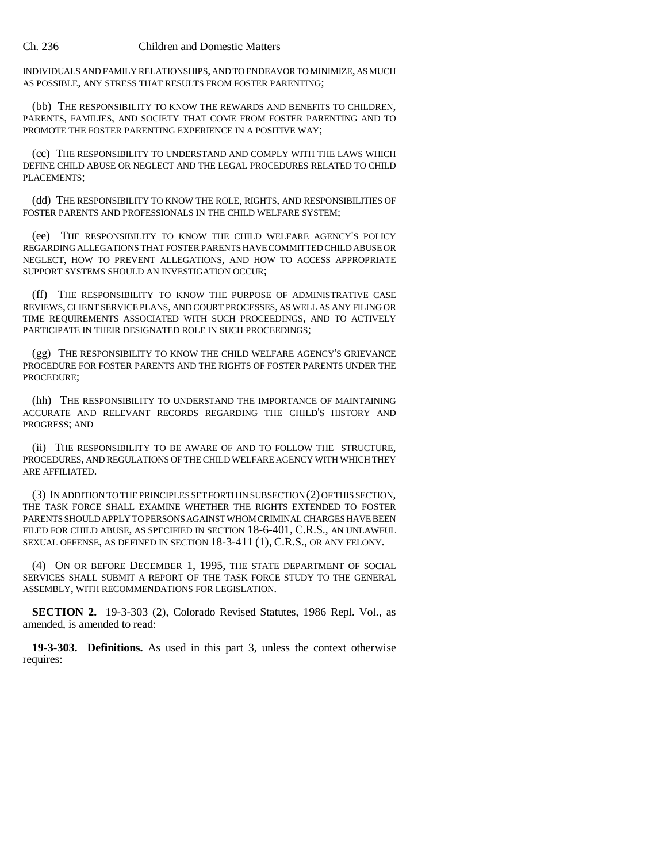## Ch. 236 Children and Domestic Matters

INDIVIDUALS AND FAMILY RELATIONSHIPS, AND TO ENDEAVOR TO MINIMIZE, AS MUCH AS POSSIBLE, ANY STRESS THAT RESULTS FROM FOSTER PARENTING;

(bb) THE RESPONSIBILITY TO KNOW THE REWARDS AND BENEFITS TO CHILDREN, PARENTS, FAMILIES, AND SOCIETY THAT COME FROM FOSTER PARENTING AND TO PROMOTE THE FOSTER PARENTING EXPERIENCE IN A POSITIVE WAY;

(cc) THE RESPONSIBILITY TO UNDERSTAND AND COMPLY WITH THE LAWS WHICH DEFINE CHILD ABUSE OR NEGLECT AND THE LEGAL PROCEDURES RELATED TO CHILD PLACEMENTS;

(dd) THE RESPONSIBILITY TO KNOW THE ROLE, RIGHTS, AND RESPONSIBILITIES OF FOSTER PARENTS AND PROFESSIONALS IN THE CHILD WELFARE SYSTEM;

(ee) THE RESPONSIBILITY TO KNOW THE CHILD WELFARE AGENCY'S POLICY REGARDING ALLEGATIONS THAT FOSTER PARENTS HAVE COMMITTED CHILD ABUSE OR NEGLECT, HOW TO PREVENT ALLEGATIONS, AND HOW TO ACCESS APPROPRIATE SUPPORT SYSTEMS SHOULD AN INVESTIGATION OCCUR;

(ff) THE RESPONSIBILITY TO KNOW THE PURPOSE OF ADMINISTRATIVE CASE REVIEWS, CLIENT SERVICE PLANS, AND COURT PROCESSES, AS WELL AS ANY FILING OR TIME REQUIREMENTS ASSOCIATED WITH SUCH PROCEEDINGS, AND TO ACTIVELY PARTICIPATE IN THEIR DESIGNATED ROLE IN SUCH PROCEEDINGS;

(gg) THE RESPONSIBILITY TO KNOW THE CHILD WELFARE AGENCY'S GRIEVANCE PROCEDURE FOR FOSTER PARENTS AND THE RIGHTS OF FOSTER PARENTS UNDER THE PROCEDURE;

(hh) THE RESPONSIBILITY TO UNDERSTAND THE IMPORTANCE OF MAINTAINING ACCURATE AND RELEVANT RECORDS REGARDING THE CHILD'S HISTORY AND PROGRESS; AND

(ii) THE RESPONSIBILITY TO BE AWARE OF AND TO FOLLOW THE STRUCTURE, PROCEDURES, AND REGULATIONS OF THE CHILD WELFARE AGENCY WITH WHICH THEY ARE AFFILIATED.

(3) IN ADDITION TO THE PRINCIPLES SET FORTH IN SUBSECTION (2) OF THIS SECTION, THE TASK FORCE SHALL EXAMINE WHETHER THE RIGHTS EXTENDED TO FOSTER PARENTS SHOULD APPLY TO PERSONS AGAINST WHOM CRIMINAL CHARGES HAVE BEEN FILED FOR CHILD ABUSE, AS SPECIFIED IN SECTION 18-6-401, C.R.S., AN UNLAWFUL SEXUAL OFFENSE, AS DEFINED IN SECTION 18-3-411 (1), C.R.S., OR ANY FELONY.

(4) ON OR BEFORE DECEMBER 1, 1995, THE STATE DEPARTMENT OF SOCIAL SERVICES SHALL SUBMIT A REPORT OF THE TASK FORCE STUDY TO THE GENERAL ASSEMBLY, WITH RECOMMENDATIONS FOR LEGISLATION.

**SECTION 2.** 19-3-303 (2), Colorado Revised Statutes, 1986 Repl. Vol., as amended, is amended to read:

**19-3-303. Definitions.** As used in this part 3, unless the context otherwise requires: